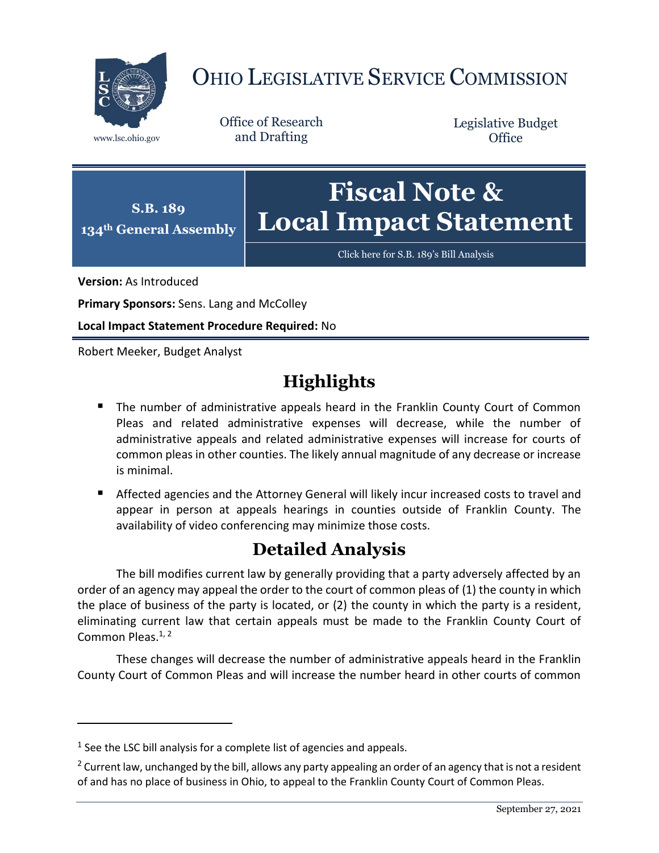

## OHIO LEGISLATIVE SERVICE COMMISSION

Office of Research www.lsc.ohio.gov and Drafting

Legislative Budget **Office** 



[Click here for S.B. 189](https://www.legislature.ohio.gov/legislation/legislation-documents?id=GA134-SB-189)'s Bill Analysis

**Version:** As Introduced

 $\overline{a}$ 

**Primary Sponsors:** Sens. Lang and McColley

**Local Impact Statement Procedure Required:** No

Robert Meeker, Budget Analyst

## **Highlights**

- **The number of administrative appeals heard in the Franklin County Court of Common** Pleas and related administrative expenses will decrease, while the number of administrative appeals and related administrative expenses will increase for courts of common pleas in other counties. The likely annual magnitude of any decrease or increase is minimal.
- Affected agencies and the Attorney General will likely incur increased costs to travel and appear in person at appeals hearings in counties outside of Franklin County. The availability of video conferencing may minimize those costs.

## **Detailed Analysis**

The bill modifies current law by generally providing that a party adversely affected by an order of an agency may appeal the order to the court of common pleas of (1) the county in which the place of business of the party is located, or (2) the county in which the party is a resident, eliminating current law that certain appeals must be made to the Franklin County Court of Common Pleas.<sup>1, 2</sup>

These changes will decrease the number of administrative appeals heard in the Franklin County Court of Common Pleas and will increase the number heard in other courts of common

 $<sup>1</sup>$  See the LSC bill analysis for a complete list of agencies and appeals.</sup>

<sup>&</sup>lt;sup>2</sup> Current law, unchanged by the bill, allows any party appealing an order of an agency that is not a resident of and has no place of business in Ohio, to appeal to the Franklin County Court of Common Pleas.